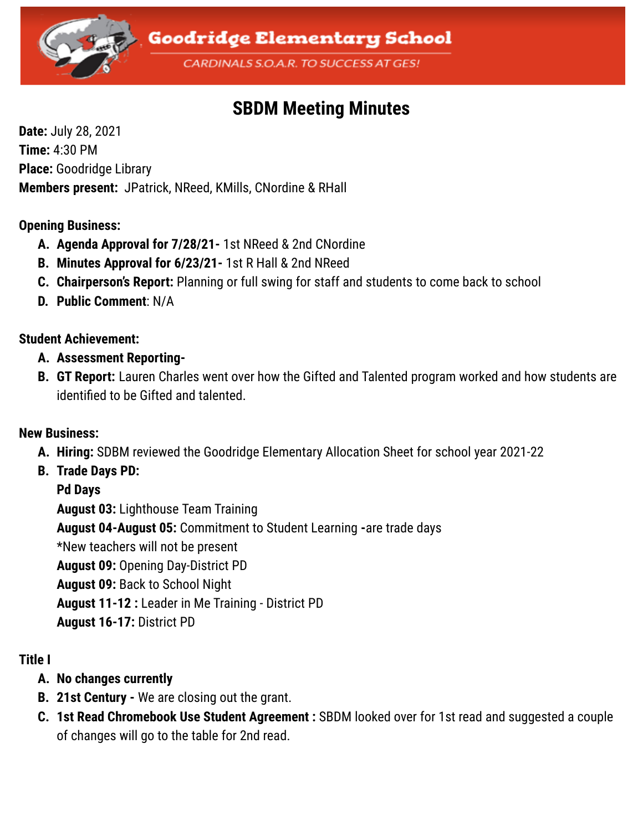

# **SBDM Meeting Minutes**

**Date:** July 28, 2021 **Time:** 4:30 PM **Place:** Goodridge Library **Members present:** JPatrick, NReed, KMills, CNordine & RHall

#### **Opening Business:**

- **A. Agenda Approval for 7/28/21-** 1st NReed & 2nd CNordine
- **B. Minutes Approval for 6/23/21-** 1st R Hall & 2nd NReed
- **C. Chairperson's Report:** Planning or full swing for staff and students to come back to school
- **D. Public Comment**: N/A

### **Student Achievement:**

- **A. Assessment Reporting-**
- **B. GT Report:** Lauren Charles went over how the Gifted and Talented program worked and how students are identified to be Gifted and talented.

### **New Business:**

- **A. Hiring:** SDBM reviewed the Goodridge Elementary Allocation Sheet for school year 2021-22
- **B. Trade Days PD:**

**Pd Days**

**August 03:** Lighthouse Team Training **August 04-August 05:** Commitment to Student Learning **-**are trade days \*New teachers will not be present **August 09:** Opening Day-District PD **August 09:** Back to School Night **August 11-12 :** Leader in Me Training - District PD **August 16-17:** District PD

## **Title I**

- **A. No changes currently**
- **B. 21st Century -** We are closing out the grant.
- **C. 1st Read Chromebook Use Student Agreement :** SBDM looked over for 1st read and suggested a couple of changes will go to the table for 2nd read.